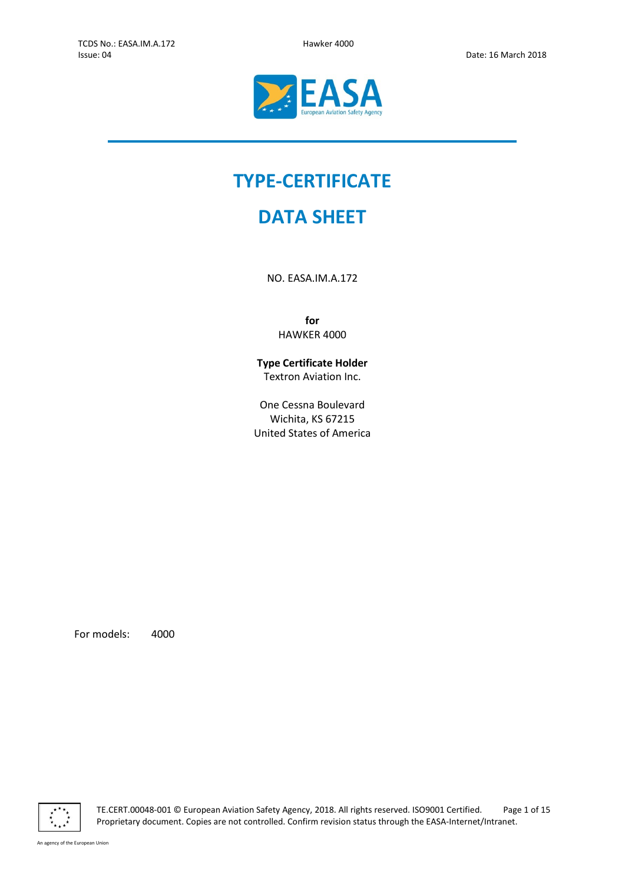

# **TYPE-CERTIFICATE**

# **DATA SHEET**

NO. EASA.IM.A.172

**for** HAWKER 4000

**Type Certificate Holder** Textron Aviation Inc.

One Cessna Boulevard Wichita, KS 67215 United States of America

For models: 4000



TE.CERT.00048-001 © European Aviation Safety Agency, 2018. All rights reserved. ISO9001 Certified. Page 1 of 15 Proprietary document. Copies are not controlled. Confirm revision status through the EASA-Internet/Intranet.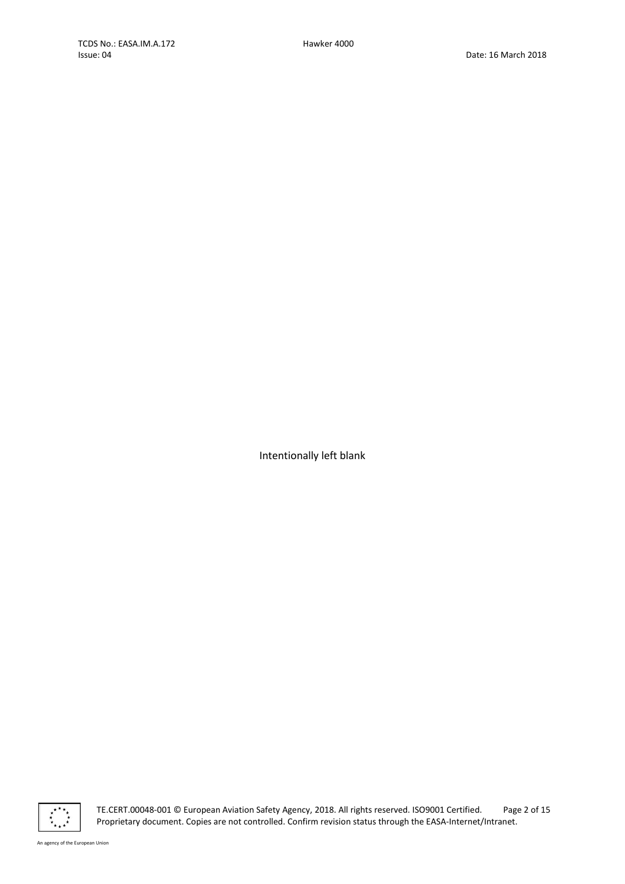Intentionally left blank



TE.CERT.00048-001 © European Aviation Safety Agency, 2018. All rights reserved. ISO9001 Certified. Page 2 of 15 Proprietary document. Copies are not controlled. Confirm revision status through the EASA-Internet/Intranet.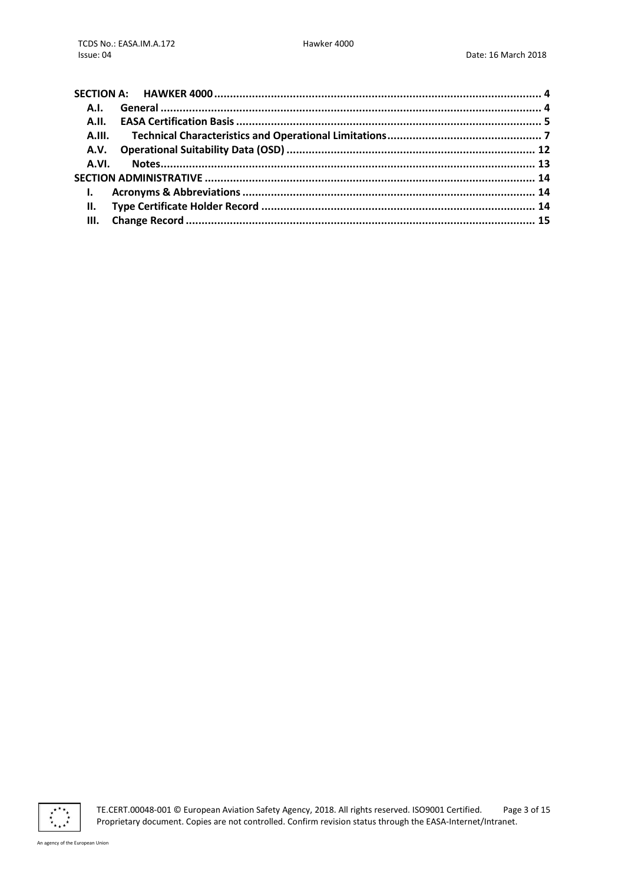| A.I. |  |
|------|--|
|      |  |
|      |  |
|      |  |
|      |  |
|      |  |
|      |  |
|      |  |
| III. |  |
|      |  |



TE.CERT.00048-001 © European Aviation Safety Agency, 2018. All rights reserved. ISO9001 Certified. Page 3 of 15 Proprietary document. Copies are not controlled. Confirm revision status through the EASA-Internet/Intranet.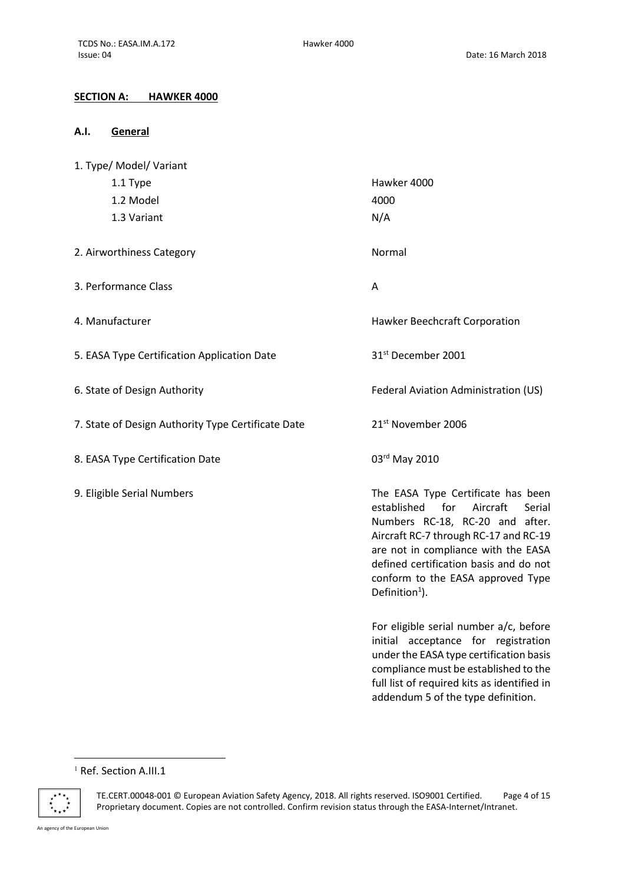# <span id="page-3-0"></span>**SECTION A: HAWKER 4000**

# <span id="page-3-1"></span>**A.I. General**

| 1. Type/ Model/ Variant                            |                                                                                                                                                                                                                                                                                                       |
|----------------------------------------------------|-------------------------------------------------------------------------------------------------------------------------------------------------------------------------------------------------------------------------------------------------------------------------------------------------------|
| 1.1 Type                                           | Hawker 4000                                                                                                                                                                                                                                                                                           |
| 1.2 Model                                          | 4000                                                                                                                                                                                                                                                                                                  |
| 1.3 Variant                                        | N/A                                                                                                                                                                                                                                                                                                   |
| 2. Airworthiness Category                          | Normal                                                                                                                                                                                                                                                                                                |
| 3. Performance Class                               | A                                                                                                                                                                                                                                                                                                     |
| 4. Manufacturer                                    | Hawker Beechcraft Corporation                                                                                                                                                                                                                                                                         |
| 5. EASA Type Certification Application Date        | 31 <sup>st</sup> December 2001                                                                                                                                                                                                                                                                        |
| 6. State of Design Authority                       | Federal Aviation Administration (US)                                                                                                                                                                                                                                                                  |
| 7. State of Design Authority Type Certificate Date | 21 <sup>st</sup> November 2006                                                                                                                                                                                                                                                                        |
| 8. EASA Type Certification Date                    | 03rd May 2010                                                                                                                                                                                                                                                                                         |
| 9. Eligible Serial Numbers                         | The EASA Type Certificate has been<br>for<br>established<br>Aircraft<br>Serial<br>Numbers RC-18, RC-20 and after.<br>Aircraft RC-7 through RC-17 and RC-19<br>are not in compliance with the EASA<br>defined certification basis and do not<br>conform to the EASA approved Type<br>Definition $1$ ). |
|                                                    | For eligible serial number a/c, before<br>initial acceptance for registration<br>under the EASA type certification basis                                                                                                                                                                              |

<sup>1</sup> Ref. Section A.III.1



TE.CERT.00048-001 © European Aviation Safety Agency, 2018. All rights reserved. ISO9001 Certified. Page 4 of 15 Proprietary document. Copies are not controlled. Confirm revision status through the EASA-Internet/Intranet.

compliance must be established to the full list of required kits as identified in addendum 5 of the type definition.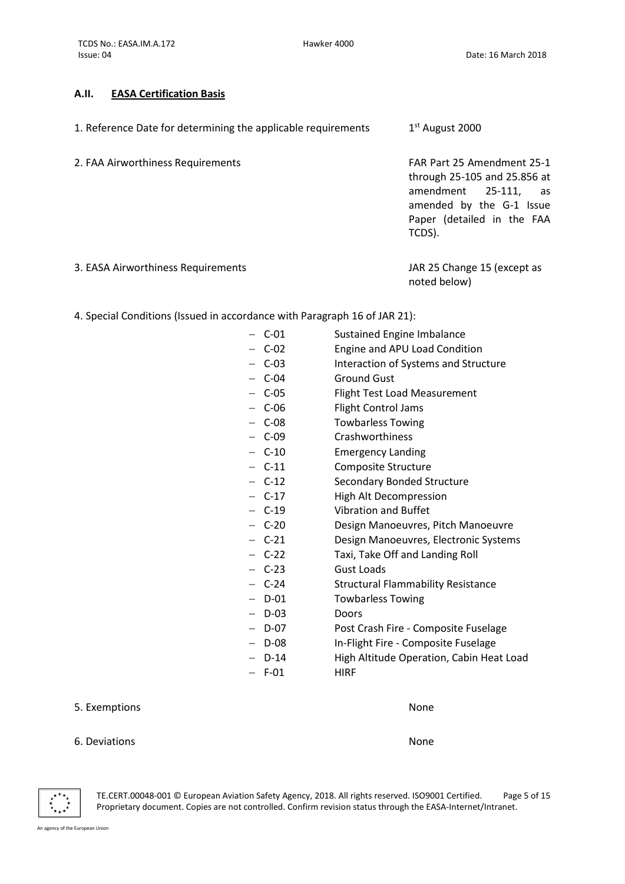# <span id="page-4-0"></span>**A.II. EASA Certification Basis**

| 1. Reference Date for determining the applicable requirements | $1st$ August 2000                                                                                                                                           |
|---------------------------------------------------------------|-------------------------------------------------------------------------------------------------------------------------------------------------------------|
| 2. FAA Airworthiness Requirements                             | FAR Part 25 Amendment 25-1<br>through 25-105 and 25.856 at<br>amendment 25-111,<br>as a<br>amended by the G-1 Issue<br>Paper (detailed in the FAA<br>TCDS). |
| 3. EASA Airworthiness Requirements                            | JAR 25 Change 15 (except as<br>noted below)                                                                                                                 |

# 4. Special Conditions (Issued in accordance with Paragraph 16 of JAR 21):

|                          | $C-01$   | <b>Sustained Engine Imbalance</b>         |
|--------------------------|----------|-------------------------------------------|
|                          | $C-02$   | Engine and APU Load Condition             |
| $\qquad \qquad -$        | $C-03$   | Interaction of Systems and Structure      |
| $\overline{\phantom{0}}$ | $C-04$   | <b>Ground Gust</b>                        |
|                          | $C-05$   | Flight Test Load Measurement              |
|                          | $C-06$   | <b>Flight Control Jams</b>                |
| $\overline{\phantom{0}}$ | $C-08$   | <b>Towbarless Towing</b>                  |
|                          | $-$ C-09 | Crashworthiness                           |
|                          | $- C-10$ | <b>Emergency Landing</b>                  |
| $\qquad \qquad -$        | $C-11$   | Composite Structure                       |
|                          | $- C-12$ | Secondary Bonded Structure                |
| $\overline{\phantom{0}}$ | $C-17$   | <b>High Alt Decompression</b>             |
| $\overline{\phantom{0}}$ | $C-19$   | <b>Vibration and Buffet</b>               |
| $\qquad \qquad -$        | $C-20$   | Design Manoeuvres, Pitch Manoeuvre        |
|                          | $C-21$   | Design Manoeuvres, Electronic Systems     |
| $\qquad \qquad -$        | $C-22$   | Taxi, Take Off and Landing Roll           |
| $\qquad \qquad -$        | $C-23$   | Gust Loads                                |
| $\overline{\phantom{0}}$ | $C-24$   | <b>Structural Flammability Resistance</b> |
| $\overline{\phantom{m}}$ | $D-01$   | <b>Towbarless Towing</b>                  |
| $\qquad \qquad -$        | $D-03$   | Doors                                     |
| $\overline{\phantom{m}}$ | $D-07$   | Post Crash Fire - Composite Fuselage      |
| $\qquad \qquad -$        | D-08     | In-Flight Fire - Composite Fuselage       |
|                          | $D-14$   | High Altitude Operation, Cabin Heat Load  |
|                          | $-$ F-01 | <b>HIRF</b>                               |
|                          |          |                                           |

# 5. Exemptions None

6. Deviations None



TE.CERT.00048-001 © European Aviation Safety Agency, 2018. All rights reserved. ISO9001 Certified. Page 5 of 15 Proprietary document. Copies are not controlled. Confirm revision status through the EASA-Internet/Intranet.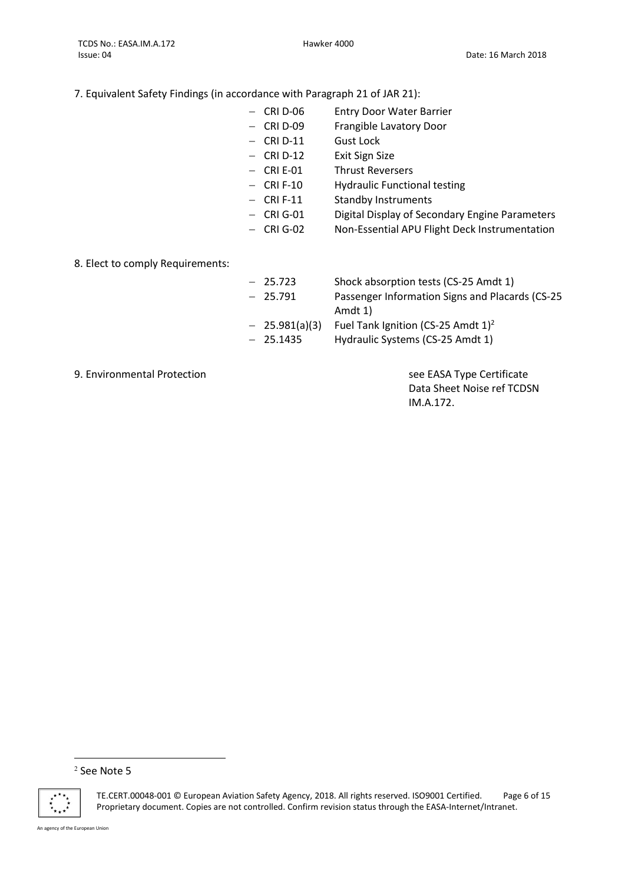7. Equivalent Safety Findings (in accordance with Paragraph 21 of JAR 21):

| $-$ CRI D-06 | <b>Entry Door Water Barrier</b>                |
|--------------|------------------------------------------------|
| $-$ CRI D-09 | Frangible Lavatory Door                        |
| $-$ CRI D-11 | <b>Gust Lock</b>                               |
| $-$ CRI D-12 | <b>Exit Sign Size</b>                          |
| $-$ CRI E-01 | <b>Thrust Reversers</b>                        |
| $-$ CRI F-10 | <b>Hydraulic Functional testing</b>            |
| $-$ CRI F-11 | <b>Standby Instruments</b>                     |
| $-$ CRI G-01 | Digital Display of Secondary Engine Parameters |
| $-$ CRI G-02 | Non-Essential APU Flight Deck Instrumentation  |
|              |                                                |

# 8. Elect to comply Requirements:

| $-25.723$       | Shock absorption tests (CS-25 Amdt 1)             |
|-----------------|---------------------------------------------------|
| $-25.791$       | Passenger Information Signs and Placards (CS-25   |
|                 | Amdt 1)                                           |
| $-25.981(a)(3)$ | Fuel Tank Ignition (CS-25 Amdt $1$ ) <sup>2</sup> |
| $-25.1435$      | Hydraulic Systems (CS-25 Amdt 1)                  |

9. Environmental Protection and the seed of the See EASA Type Certificate

Data Sheet Noise ref TCDSN IM.A.172.

<sup>2</sup> See Note 5



TE.CERT.00048-001 © European Aviation Safety Agency, 2018. All rights reserved. ISO9001 Certified. Page 6 of 15 Proprietary document. Copies are not controlled. Confirm revision status through the EASA-Internet/Intranet.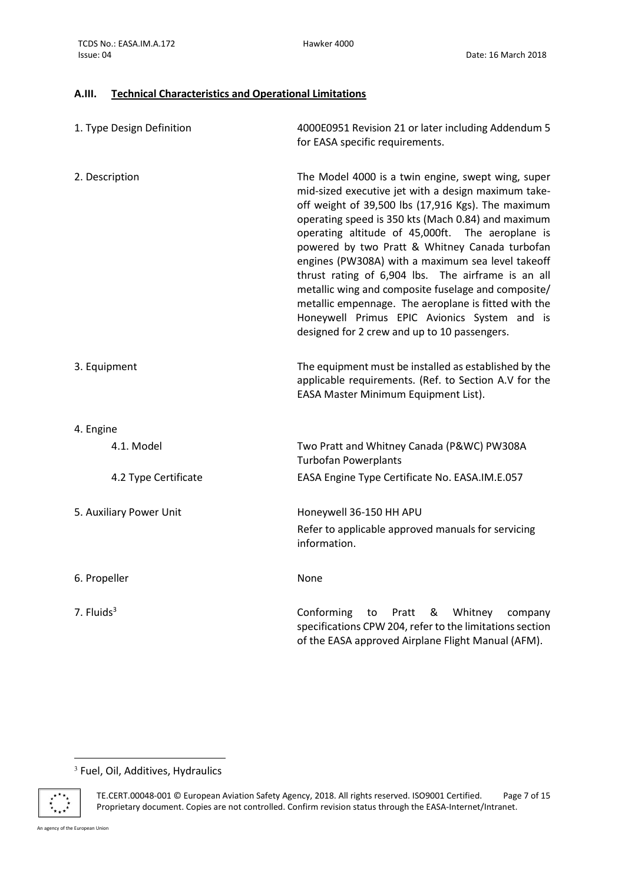# <span id="page-6-0"></span>**A.III. Technical Characteristics and Operational Limitations**

| 1. Type Design Definition | 4000E0951 Revision 21 or later including Addendum 5<br>for EASA specific requirements.                                                                                                                                                                                                                                                                                                                                                                                                                                                                                                                                                                |  |
|---------------------------|-------------------------------------------------------------------------------------------------------------------------------------------------------------------------------------------------------------------------------------------------------------------------------------------------------------------------------------------------------------------------------------------------------------------------------------------------------------------------------------------------------------------------------------------------------------------------------------------------------------------------------------------------------|--|
| 2. Description            | The Model 4000 is a twin engine, swept wing, super<br>mid-sized executive jet with a design maximum take-<br>off weight of 39,500 lbs (17,916 Kgs). The maximum<br>operating speed is 350 kts (Mach 0.84) and maximum<br>operating altitude of 45,000ft. The aeroplane is<br>powered by two Pratt & Whitney Canada turbofan<br>engines (PW308A) with a maximum sea level takeoff<br>thrust rating of 6,904 lbs. The airframe is an all<br>metallic wing and composite fuselage and composite/<br>metallic empennage. The aeroplane is fitted with the<br>Honeywell Primus EPIC Avionics System and is<br>designed for 2 crew and up to 10 passengers. |  |
| 3. Equipment              | The equipment must be installed as established by the<br>applicable requirements. (Ref. to Section A.V for the<br>EASA Master Minimum Equipment List).                                                                                                                                                                                                                                                                                                                                                                                                                                                                                                |  |
| 4. Engine                 |                                                                                                                                                                                                                                                                                                                                                                                                                                                                                                                                                                                                                                                       |  |
| 4.1. Model                | Two Pratt and Whitney Canada (P&WC) PW308A<br><b>Turbofan Powerplants</b>                                                                                                                                                                                                                                                                                                                                                                                                                                                                                                                                                                             |  |
| 4.2 Type Certificate      | EASA Engine Type Certificate No. EASA.IM.E.057                                                                                                                                                                                                                                                                                                                                                                                                                                                                                                                                                                                                        |  |
| 5. Auxiliary Power Unit   | Honeywell 36-150 HH APU                                                                                                                                                                                                                                                                                                                                                                                                                                                                                                                                                                                                                               |  |
|                           | Refer to applicable approved manuals for servicing<br>information.                                                                                                                                                                                                                                                                                                                                                                                                                                                                                                                                                                                    |  |
| 6. Propeller              | None                                                                                                                                                                                                                                                                                                                                                                                                                                                                                                                                                                                                                                                  |  |
| 7. Fluids $3$             | Conforming<br>&<br>Whitney<br>to<br>Pratt<br>company<br>specifications CPW 204, refer to the limitations section<br>of the EASA approved Airplane Flight Manual (AFM).                                                                                                                                                                                                                                                                                                                                                                                                                                                                                |  |

<sup>3</sup> Fuel, Oil, Additives, Hydraulics



TE.CERT.00048-001 © European Aviation Safety Agency, 2018. All rights reserved. ISO9001 Certified. Page 7 of 15 Proprietary document. Copies are not controlled. Confirm revision status through the EASA-Internet/Intranet.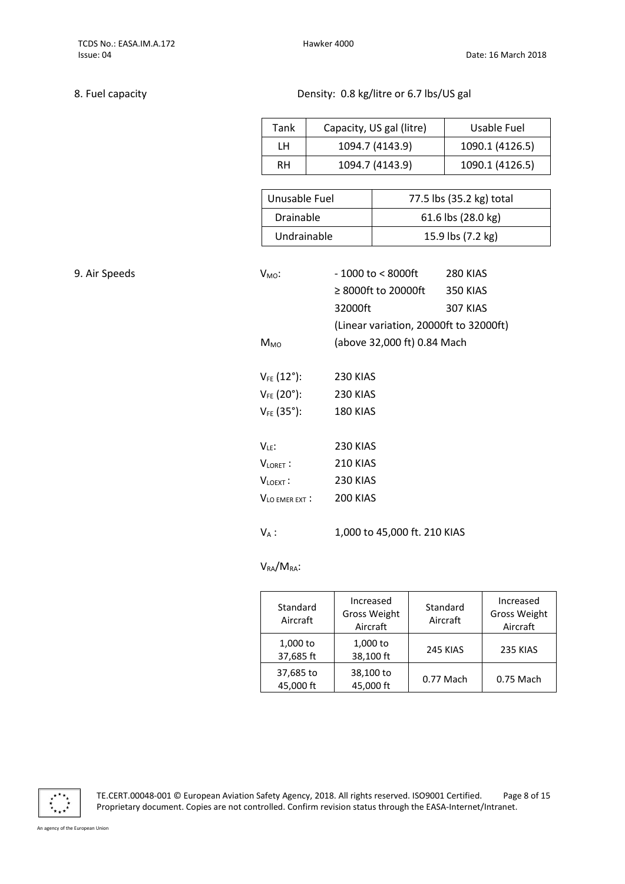# 8. Fuel capacity **Density: 0.8 kg/litre or 6.7 lbs/US gal**

| Tank | Capacity, US gal (litre) | Usable Fuel     |
|------|--------------------------|-----------------|
| LН   | 1094.7 (4143.9)          | 1090.1 (4126.5) |
| RН   | 1094.7 (4143.9)          | 1090.1 (4126.5) |

| Unusable Fuel | 77.5 lbs (35.2 kg) total |
|---------------|--------------------------|
| Drainable     | 61.6 lbs (28.0 kg)       |
| Undrainable   | 15.9 lbs (7.2 kg)        |

9. Air Speeds

| V <sub>MO</sub> :                            | - 1000 to < 8000ft                     | <b>280 KIAS</b> |
|----------------------------------------------|----------------------------------------|-----------------|
|                                              | ≥ 8000ft to 20000ft                    | <b>350 KIAS</b> |
|                                              | 32000ft                                | <b>307 KIAS</b> |
|                                              | (Linear variation, 20000ft to 32000ft) |                 |
| Mмо                                          | (above 32,000 ft) 0.84 Mach            |                 |
|                                              |                                        |                 |
| $V_{FE}$ (12°):                              | <b>230 KIAS</b>                        |                 |
| $V_{FE}$ (20°):                              | <b>230 KIAS</b>                        |                 |
| $V_{FE}$ (35°):                              | 180 KIAS                               |                 |
|                                              |                                        |                 |
| $V_{IF}$ :                                   | <b>230 KIAS</b>                        |                 |
| $V_{IORFT}$ :                                | <b>210 KIAS</b>                        |                 |
| $V_{\text{LOEXT}}$ :                         | <b>230 KIAS</b>                        |                 |
| $\mathsf{V}_{\mathsf{IO}}$ fmer ext $\colon$ | <b>200 KIAS</b>                        |                 |
|                                              |                                        |                 |
| V^ :                                         | 1,000 to 45,000 ft. 210 KIAS           |                 |
|                                              |                                        |                 |

 $V_{RA}/M_{RA}$ :

| Standard<br>Aircraft   | Increased<br>Gross Weight<br>Aircraft | Standard<br>Aircraft | Increased<br>Gross Weight<br>Aircraft |
|------------------------|---------------------------------------|----------------------|---------------------------------------|
| 1,000 to<br>37,685 ft  | 1,000 to<br>38,100 ft                 | 245 KIAS             | 235 KIAS                              |
| 37,685 to<br>45,000 ft | 38,100 to<br>45,000 ft                | 0.77 Mach            | 0.75 Mach                             |

 $*_{\star}$   $\star$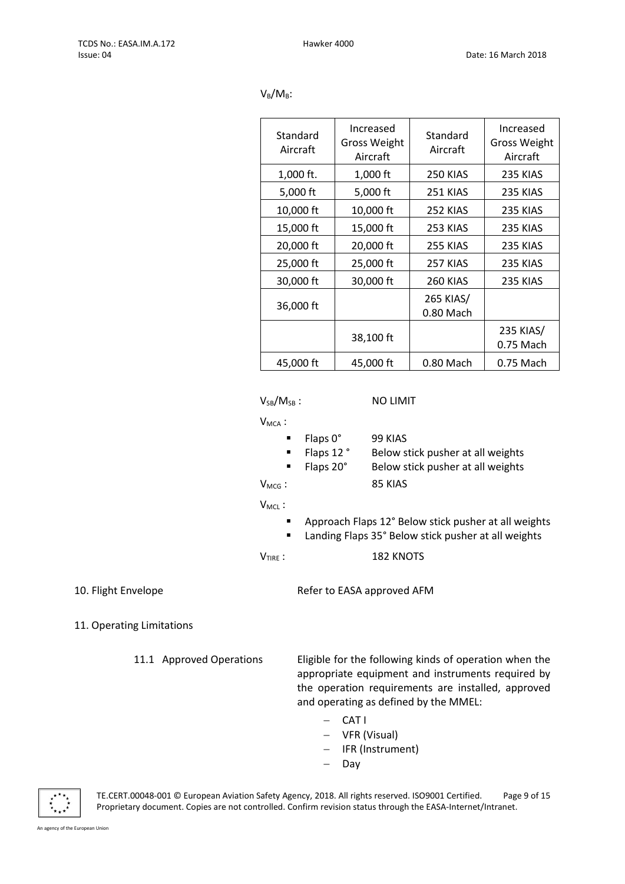| $V_B/M_B$ : |  |
|-------------|--|
|-------------|--|

| Standard<br>Aircraft | Increased<br><b>Gross Weight</b><br>Aircraft | Standard<br>Aircraft   | Increased<br><b>Gross Weight</b><br>Aircraft |
|----------------------|----------------------------------------------|------------------------|----------------------------------------------|
| 1,000 ft.            | 1,000 ft                                     | <b>250 KIAS</b>        | <b>235 KIAS</b>                              |
| 5,000 ft             | 5,000 ft                                     | <b>251 KIAS</b>        | <b>235 KIAS</b>                              |
| 10,000 ft            | 10,000 ft                                    | 252 KIAS               | <b>235 KIAS</b>                              |
| 15,000 ft            | 15,000 ft                                    | 253 KIAS               | <b>235 KIAS</b>                              |
| 20,000 ft            | 20,000 ft                                    | <b>255 KIAS</b>        | <b>235 KIAS</b>                              |
| 25,000 ft            | 25,000 ft                                    | 257 KIAS               | <b>235 KIAS</b>                              |
| 30,000 ft            | 30,000 ft                                    | <b>260 KIAS</b>        | <b>235 KIAS</b>                              |
| 36,000 ft            |                                              | 265 KIAS/<br>0.80 Mach |                                              |
|                      | 38,100 ft                                    |                        | 235 KIAS/<br>0.75 Mach                       |
| 45,000 ft            | 45,000 ft                                    | 0.80 Mach              | 0.75 Mach                                    |

 $V_{SB}/M_{SB}$ : NO LIMIT

 $V<sub>MCA</sub>$ :

- Flaps 0° 99 KIAS **Flaps 12 ° Below stick pusher at all weights** 
	- Flaps 20° Below stick pusher at all weights
- $V_{MCG}$ : 85 KIAS

 $V_{MCL}$ :

- Approach Flaps 12° Below stick pusher at all weights<br>■ Landing Flans 35° Below stick pusher at all weights
- Landing Flaps 35° Below stick pusher at all weights

V<sub>TIRE</sub>: 182 KNOTS

10. Flight Envelope **Refer to EASA approved AFM** 

# 11. Operating Limitations

11.1 Approved Operations Eligible for the following kinds of operation when the appropriate equipment and instruments required by the operation requirements are installed, approved and operating as defined by the MMEL:

- $-$  CAT I
- VFR (Visual)
- IFR (Instrument)
- $-$  Day



TE.CERT.00048-001 © European Aviation Safety Agency, 2018. All rights reserved. ISO9001 Certified. Page 9 of 15 Proprietary document. Copies are not controlled. Confirm revision status through the EASA-Internet/Intranet.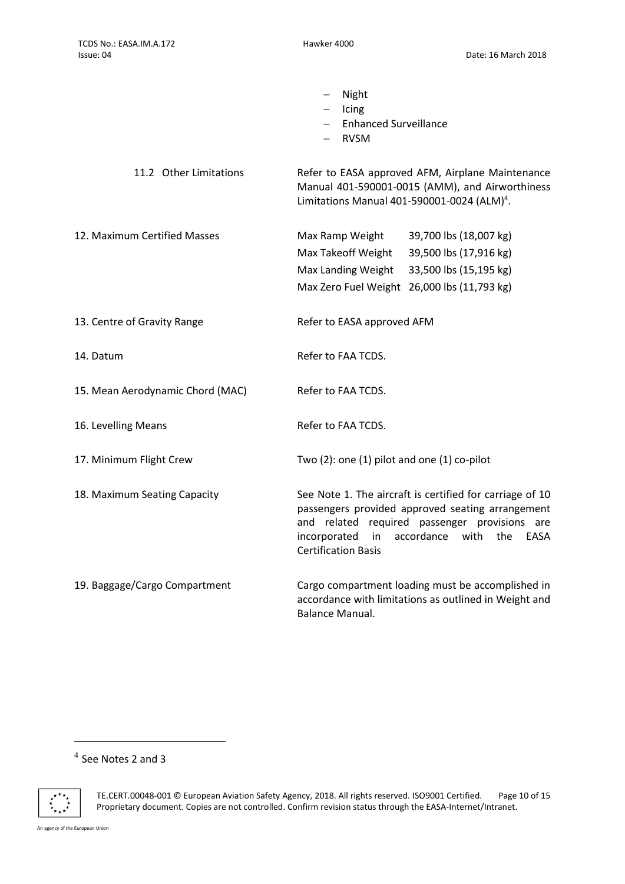|                                  | Night<br>Icing<br><b>Enhanced Surveillance</b><br><b>RVSM</b>                                                                                                                                                                                          |  |  |
|----------------------------------|--------------------------------------------------------------------------------------------------------------------------------------------------------------------------------------------------------------------------------------------------------|--|--|
| 11.2 Other Limitations           | Refer to EASA approved AFM, Airplane Maintenance<br>Manual 401-590001-0015 (AMM), and Airworthiness<br>Limitations Manual 401-590001-0024 (ALM) <sup>4</sup> .                                                                                         |  |  |
| 12. Maximum Certified Masses     | Max Ramp Weight<br>39,700 lbs (18,007 kg)<br>Max Takeoff Weight<br>39,500 lbs (17,916 kg)<br>Max Landing Weight<br>33,500 lbs (15,195 kg)<br>Max Zero Fuel Weight 26,000 lbs (11,793 kg)                                                               |  |  |
| 13. Centre of Gravity Range      | Refer to EASA approved AFM                                                                                                                                                                                                                             |  |  |
| 14. Datum                        | Refer to FAA TCDS.                                                                                                                                                                                                                                     |  |  |
| 15. Mean Aerodynamic Chord (MAC) | Refer to FAA TCDS.                                                                                                                                                                                                                                     |  |  |
| 16. Levelling Means              | Refer to FAA TCDS.                                                                                                                                                                                                                                     |  |  |
| 17. Minimum Flight Crew          | Two $(2)$ : one $(1)$ pilot and one $(1)$ co-pilot                                                                                                                                                                                                     |  |  |
| 18. Maximum Seating Capacity     | See Note 1. The aircraft is certified for carriage of 10<br>passengers provided approved seating arrangement<br>and related required passenger provisions are<br>accordance<br>incorporated<br>with<br>the<br>in<br>EASA<br><b>Certification Basis</b> |  |  |
| 19. Baggage/Cargo Compartment    | Cargo compartment loading must be accomplished in<br>accordance with limitations as outlined in Weight and<br>Balance Manual.                                                                                                                          |  |  |

<sup>4</sup> See Notes 2 and 3



TE.CERT.00048-001 © European Aviation Safety Agency, 2018. All rights reserved. ISO9001 Certified. Page 10 of 15 Proprietary document. Copies are not controlled. Confirm revision status through the EASA-Internet/Intranet.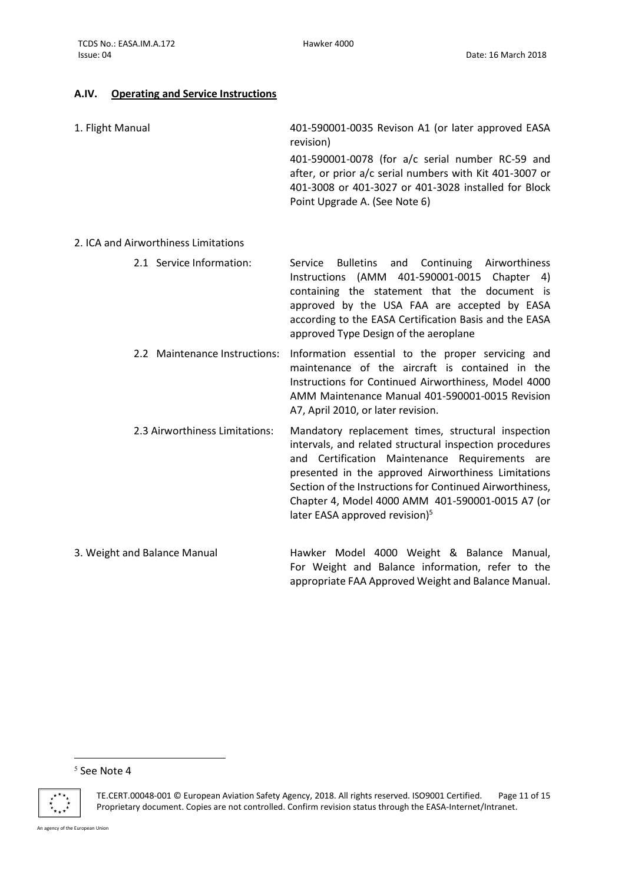## **A.IV. Operating and Service Instructions**

| 1. Flight Manual | 401-590001-0035 Revison A1 (or later approved EASA<br>revision)                                                                                                                                      |
|------------------|------------------------------------------------------------------------------------------------------------------------------------------------------------------------------------------------------|
|                  | 401-590001-0078 (for a/c serial number RC-59 and<br>after, or prior a/c serial numbers with Kit 401-3007 or<br>401-3008 or 401-3027 or 401-3028 installed for Block<br>Point Upgrade A. (See Note 6) |

## 2. ICA and Airworthiness Limitations

| 2.1 Service Information: | Service Bulletins and Continuing Airworthiness                                  |
|--------------------------|---------------------------------------------------------------------------------|
|                          | Instructions (AMM 401-590001-0015 Chapter 4)                                    |
|                          | containing the statement that the document is                                   |
|                          | approved by the USA FAA are accepted by EASA                                    |
|                          | according to the EASA Certification Basis and the EASA                          |
|                          | approved Type Design of the aeroplane                                           |
|                          | 2.2 Maintenance Instructions: Information essential to the proper servicing and |

- 2.2 Maintenance Instructions: Information essential to the proper servicing and maintenance of the aircraft is contained in the Instructions for Continued Airworthiness, Model 4000 AMM Maintenance Manual 401-590001-0015 Revision A7, April 2010, or later revision.
- 2.3 Airworthiness Limitations: Mandatory replacement times, structural inspection intervals, and related structural inspection procedures and Certification Maintenance Requirements are presented in the approved Airworthiness Limitations Section of the Instructions for Continued Airworthiness, Chapter 4, Model 4000 AMM 401-590001-0015 A7 (or later EASA approved revision) $5$
- 3. Weight and Balance Manual Hawker Model 4000 Weight & Balance Manual, For Weight and Balance information, refer to the appropriate FAA Approved Weight and Balance Manual.

<sup>5</sup> See Note 4



TE.CERT.00048-001 © European Aviation Safety Agency, 2018. All rights reserved. ISO9001 Certified. Page 11 of 15 Proprietary document. Copies are not controlled. Confirm revision status through the EASA-Internet/Intranet.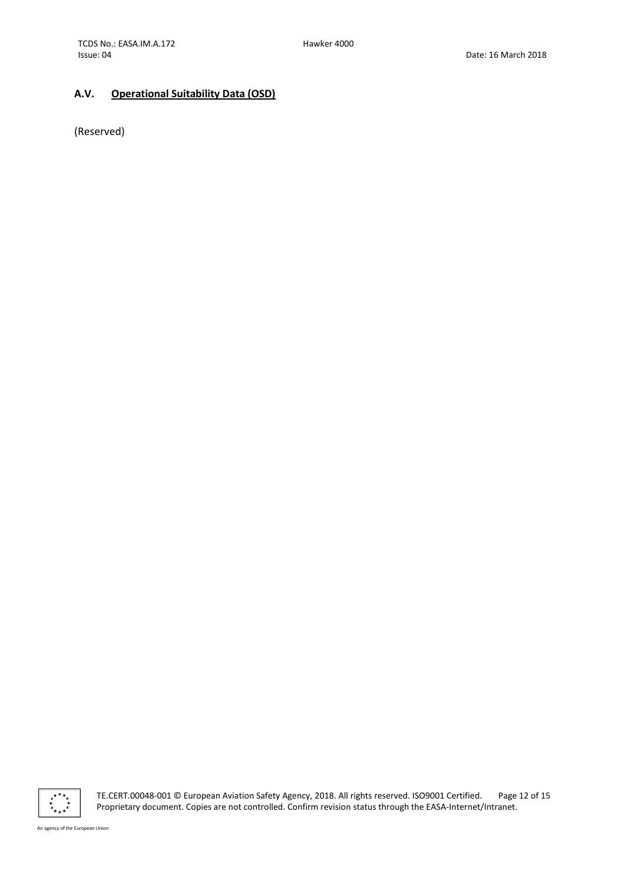# <span id="page-11-0"></span>**A.V. Operational Suitability Data (OSD)**

(Reserved)



TE.CERT.00048-001 © European Aviation Safety Agency, 2018. All rights reserved. ISO9001 Certified. Page 12 of 15 Proprietary document. Copies are not controlled. Confirm revision status through the EASA-Internet/Intranet.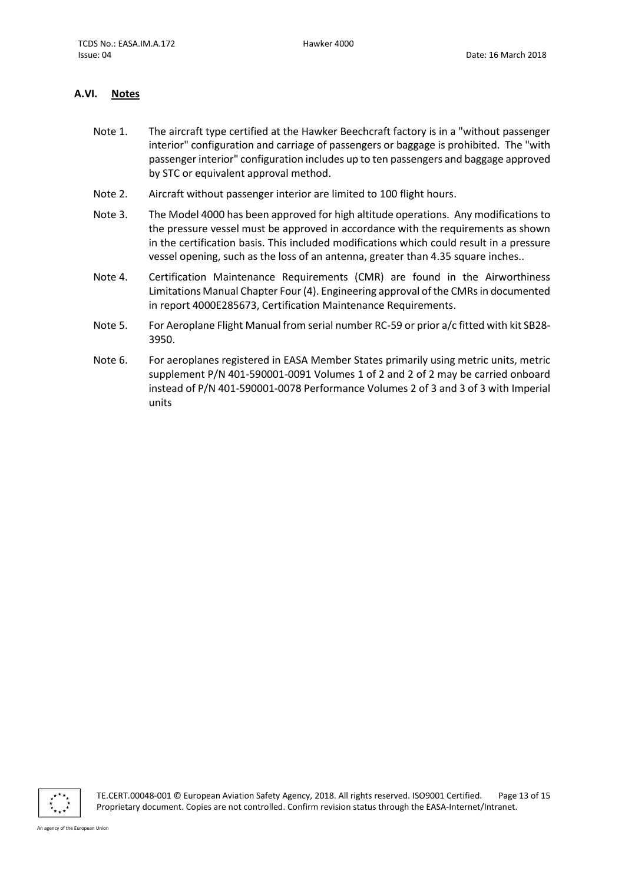# <span id="page-12-0"></span>**A.VI. Notes**

- Note 1. The aircraft type certified at the Hawker Beechcraft factory is in a "without passenger interior" configuration and carriage of passengers or baggage is prohibited. The "with passenger interior" configuration includes up to ten passengers and baggage approved by STC or equivalent approval method.
- Note 2. Aircraft without passenger interior are limited to 100 flight hours.
- Note 3. The Model 4000 has been approved for high altitude operations. Any modifications to the pressure vessel must be approved in accordance with the requirements as shown in the certification basis. This included modifications which could result in a pressure vessel opening, such as the loss of an antenna, greater than 4.35 square inches..
- Note 4. Certification Maintenance Requirements (CMR) are found in the Airworthiness Limitations Manual Chapter Four (4). Engineering approval of the CMRs in documented in report 4000E285673, Certification Maintenance Requirements.
- Note 5. For Aeroplane Flight Manual from serial number RC-59 or prior a/c fitted with kit SB28-3950.
- Note 6. For aeroplanes registered in EASA Member States primarily using metric units, metric supplement P/N 401-590001-0091 Volumes 1 of 2 and 2 of 2 may be carried onboard instead of P/N 401-590001-0078 Performance Volumes 2 of 3 and 3 of 3 with Imperial units



TE.CERT.00048-001 © European Aviation Safety Agency, 2018. All rights reserved. ISO9001 Certified. Page 13 of 15 Proprietary document. Copies are not controlled. Confirm revision status through the EASA-Internet/Intranet.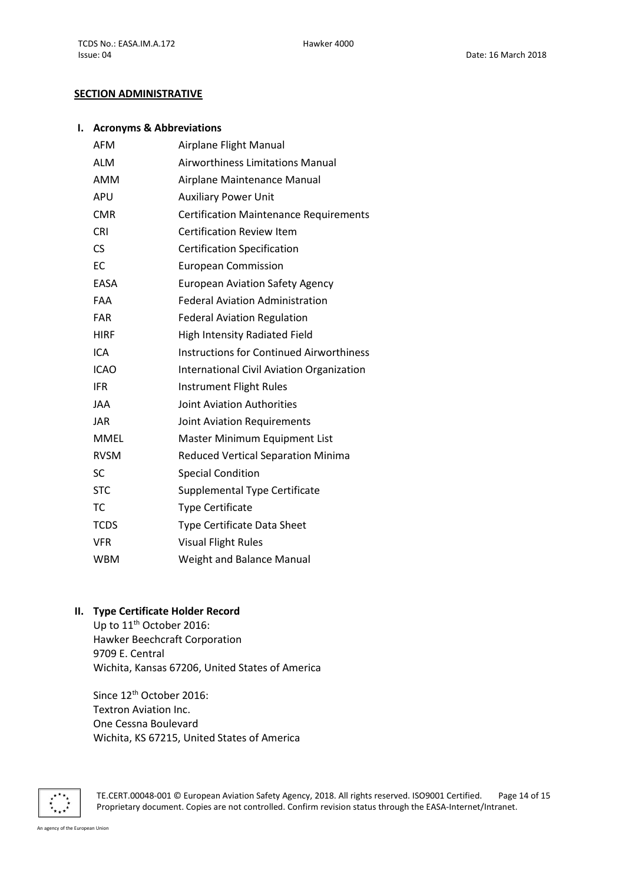# <span id="page-13-0"></span>**SECTION ADMINISTRATIVE**

# <span id="page-13-1"></span>**I. Acronyms & Abbreviations**

| <b>AFM</b>  | Airplane Flight Manual                          |
|-------------|-------------------------------------------------|
| <b>ALM</b>  | <b>Airworthiness Limitations Manual</b>         |
| AMM         | Airplane Maintenance Manual                     |
| <b>APU</b>  | <b>Auxiliary Power Unit</b>                     |
| <b>CMR</b>  | <b>Certification Maintenance Requirements</b>   |
| <b>CRI</b>  | <b>Certification Review Item</b>                |
| CS          | <b>Certification Specification</b>              |
| EC          | <b>European Commission</b>                      |
| EASA        | <b>European Aviation Safety Agency</b>          |
| FAA         | <b>Federal Aviation Administration</b>          |
| <b>FAR</b>  | <b>Federal Aviation Regulation</b>              |
| <b>HIRF</b> | <b>High Intensity Radiated Field</b>            |
| <b>ICA</b>  | <b>Instructions for Continued Airworthiness</b> |
| <b>ICAO</b> | International Civil Aviation Organization       |
| <b>IFR</b>  | <b>Instrument Flight Rules</b>                  |
| <b>JAA</b>  | <b>Joint Aviation Authorities</b>               |
| <b>JAR</b>  | <b>Joint Aviation Requirements</b>              |
| <b>MMEL</b> | Master Minimum Equipment List                   |
| <b>RVSM</b> | <b>Reduced Vertical Separation Minima</b>       |
| <b>SC</b>   | <b>Special Condition</b>                        |
| <b>STC</b>  | Supplemental Type Certificate                   |
| TC          | <b>Type Certificate</b>                         |
| <b>TCDS</b> | <b>Type Certificate Data Sheet</b>              |
| <b>VFR</b>  | <b>Visual Flight Rules</b>                      |
| <b>WBM</b>  | <b>Weight and Balance Manual</b>                |

# <span id="page-13-2"></span>**II. Type Certificate Holder Record**

Up to 11<sup>th</sup> October 2016: Hawker Beechcraft Corporation 9709 E. Central Wichita, Kansas 67206, United States of America

Since 12<sup>th</sup> October 2016: Textron Aviation Inc. One Cessna Boulevard Wichita, KS 67215, United States of America



TE.CERT.00048-001 © European Aviation Safety Agency, 2018. All rights reserved. ISO9001 Certified. Page 14 of 15 Proprietary document. Copies are not controlled. Confirm revision status through the EASA-Internet/Intranet.